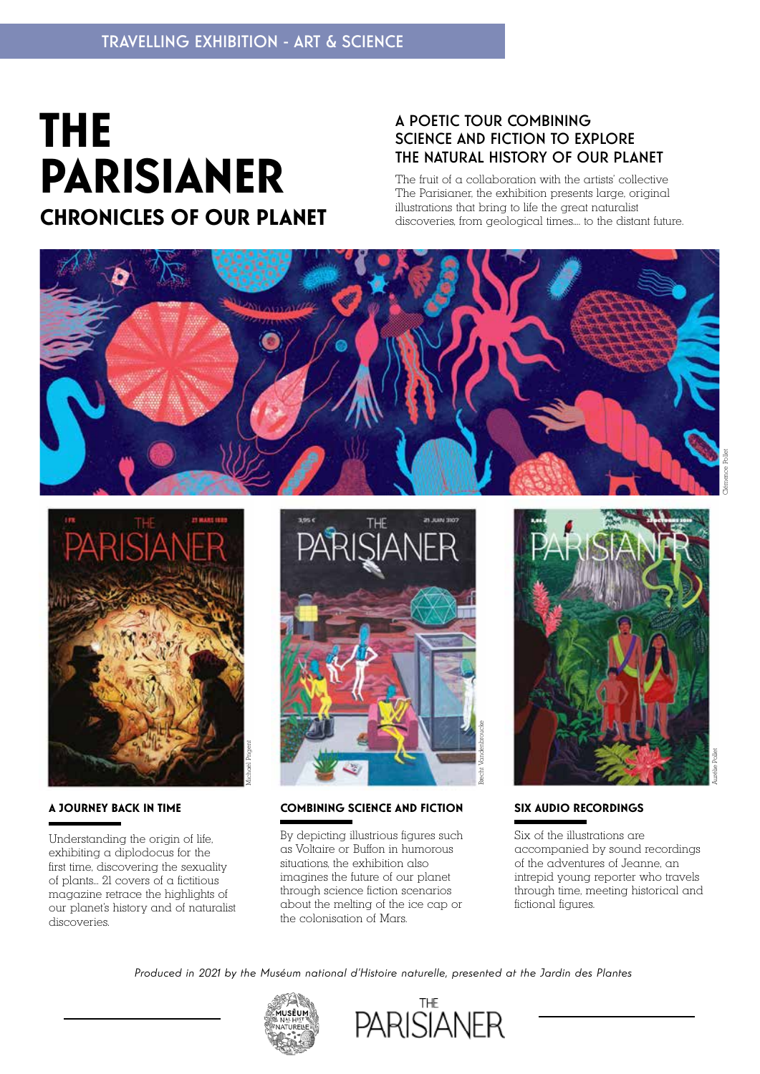# **THE PARISIANER CHRONICLES OF OUR PLANET**

### A POETIC TOUR COMBINING SCIENCE AND FICTION TO EXPLORE THE NATURAL HISTORY OF OUR PLANET

The fruit of a collaboration with the artists' collective The Parisianer, the exhibition presents large, original illustrations that bring to life the great naturalist discoveries, from geological times.... to the distant future.





#### **A JOURNEY BACK IN TIME**

Understanding the origin of life, exhibiting a diplodocus for the first time, discovering the sexuality of plants... 21 covers of a fictitious magazine retrace the highlights of our planet's history and of naturalist discoveries.



#### **COMBINING SCIENCE AND FICTION**

By depicting illustrious figures such as Voltaire or Buffon in humorous situations, the exhibition also imagines the future of our planet through science fiction scenarios about the melting of the ice cap or the colonisation of Mars.



#### **SIX AUDIO RECORDINGS**

Six of the illustrations are accompanied by sound recordings of the adventures of Jeanne, an intrepid young reporter who travels through time, meeting historical and fictional figures.

*Produced in 2021 by the Muséum national d'Histoire naturelle, presented at the Jardin des Plantes*